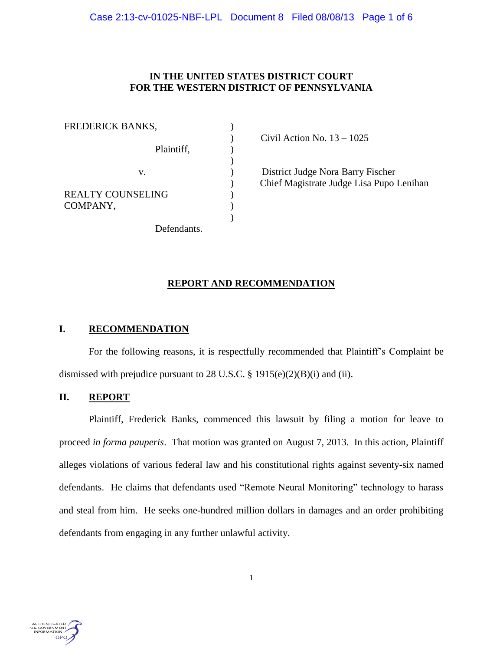# **IN THE UNITED STATES DISTRICT COURT FOR THE WESTERN DISTRICT OF PENNSYLVANIA**

| FREDERICK BANKS,                     |  |
|--------------------------------------|--|
| Plaintiff,                           |  |
| V.                                   |  |
| <b>REALTY COUNSELING</b><br>COMPANY, |  |
| Defendants.                          |  |

) Civil Action No. 13 – 1025

) District Judge Nora Barry Fischer ) Chief Magistrate Judge Lisa Pupo Lenihan

# **REPORT AND RECOMMENDATION**

# **I. RECOMMENDATION**

For the following reasons, it is respectfully recommended that Plaintiff's Complaint be dismissed with prejudice pursuant to 28 U.S.C. § 1915(e)(2)(B)(i) and (ii).

## **II. REPORT**

Plaintiff, Frederick Banks, commenced this lawsuit by filing a motion for leave to proceed *in forma pauperis*. That motion was granted on August 7, 2013. In this action, Plaintiff alleges violations of various federal law and his constitutional rights against seventy-six named defendants. He claims that defendants used "Remote Neural Monitoring" technology to harass and steal from him. He seeks one-hundred million dollars in damages and an order prohibiting defendants from engaging in any further unlawful activity.

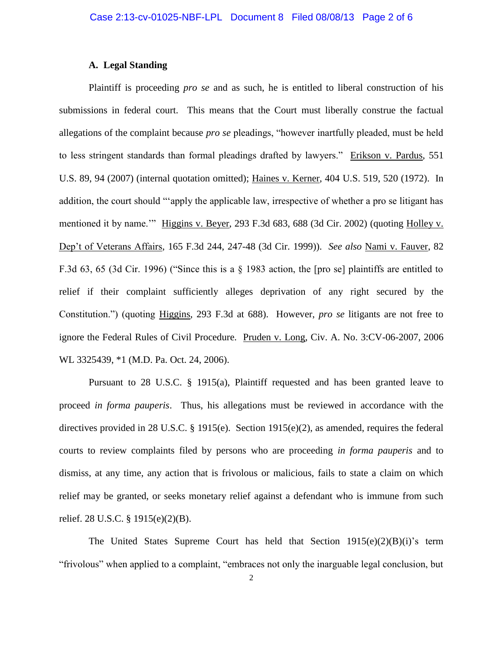# **A. Legal Standing**

Plaintiff is proceeding *pro se* and as such, he is entitled to liberal construction of his submissions in federal court. This means that the Court must liberally construe the factual allegations of the complaint because *pro se* pleadings, "however inartfully pleaded, must be held to less stringent standards than formal pleadings drafted by lawyers." Erikson v. Pardus, 551 U.S. 89, 94 (2007) (internal quotation omitted); Haines v. Kerner, 404 U.S. 519, 520 (1972). In addition, the court should "'apply the applicable law, irrespective of whether a pro se litigant has mentioned it by name.'" Higgins v. Beyer, 293 F.3d 683, 688 (3d Cir. 2002) (quoting Holley v. Dep't of Veterans Affairs, 165 F.3d 244, 247-48 (3d Cir. 1999)). *See also* Nami v. Fauver, 82 F.3d 63, 65 (3d Cir. 1996) ("Since this is a § 1983 action, the [pro se] plaintiffs are entitled to relief if their complaint sufficiently alleges deprivation of any right secured by the Constitution.") (quoting Higgins, 293 F.3d at 688). However, *pro se* litigants are not free to ignore the Federal Rules of Civil Procedure. Pruden v. Long, Civ. A. No. 3:CV-06-2007, 2006 WL 3325439, \*1 (M.D. Pa. Oct. 24, 2006).

Pursuant to 28 U.S.C. § 1915(a), Plaintiff requested and has been granted leave to proceed *in forma pauperis*. Thus, his allegations must be reviewed in accordance with the directives provided in 28 U.S.C. § 1915(e). Section 1915(e)(2), as amended, requires the federal courts to review complaints filed by persons who are proceeding *in forma pauperis* and to dismiss, at any time, any action that is frivolous or malicious, fails to state a claim on which relief may be granted, or seeks monetary relief against a defendant who is immune from such relief. 28 U.S.C. § 1915(e)(2)(B).

The United States Supreme Court has held that Section  $1915(e)(2)(B)(i)$ 's term "frivolous" when applied to a complaint, "embraces not only the inarguable legal conclusion, but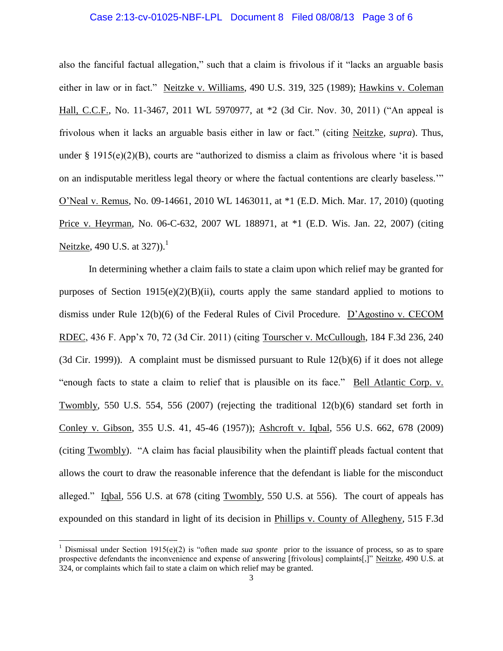### Case 2:13-cv-01025-NBF-LPL Document 8 Filed 08/08/13 Page 3 of 6

also the fanciful factual allegation," such that a claim is frivolous if it "lacks an arguable basis either in law or in fact." Neitzke v. Williams, 490 U.S. 319, 325 (1989); Hawkins v. Coleman Hall, C.C.F., No. 11-3467, 2011 WL 5970977, at \*2 (3d Cir. Nov. 30, 2011) ("An appeal is frivolous when it lacks an arguable basis either in law or fact." (citing Neitzke*, supra*). Thus, under  $\S$  1915(e)(2)(B), courts are "authorized to dismiss a claim as frivolous where 'it is based on an indisputable meritless legal theory or where the factual contentions are clearly baseless.'" O'Neal v. Remus, No. 09-14661, 2010 WL 1463011, at \*1 (E.D. Mich. Mar. 17, 2010) (quoting Price v. Heyrman, No. 06-C-632, 2007 WL 188971, at \*1 (E.D. Wis. Jan. 22, 2007) (citing Neitzke, 490 U.S. at  $327$ ).<sup>1</sup>

In determining whether a claim fails to state a claim upon which relief may be granted for purposes of Section  $1915(e)(2)(B)(ii)$ , courts apply the same standard applied to motions to dismiss under Rule 12(b)(6) of the Federal Rules of Civil Procedure. D'Agostino v. CECOM RDEC, 436 F. App'x 70, 72 (3d Cir. 2011) (citing Tourscher v. McCullough, 184 F.3d 236, 240 (3d Cir. 1999)). A complaint must be dismissed pursuant to Rule  $12(b)(6)$  if it does not allege "enough facts to state a claim to relief that is plausible on its face." Bell Atlantic Corp. v. Twombly, 550 U.S. 554, 556 (2007) (rejecting the traditional 12(b)(6) standard set forth in Conley v. Gibson, 355 U.S. 41, 45-46 (1957)); Ashcroft v. Iqbal, 556 U.S. 662, 678 (2009) (citing Twombly). "A claim has facial plausibility when the plaintiff pleads factual content that allows the court to draw the reasonable inference that the defendant is liable for the misconduct alleged." Iqbal*,* 556 U.S. at 678 (citing Twombly, 550 U.S. at 556). The court of appeals has expounded on this standard in light of its decision in Phillips v. County of Allegheny*,* 515 F.3d

 $\overline{a}$ 

<sup>&</sup>lt;sup>1</sup> Dismissal under Section 1915(e)(2) is "often made *sua sponte* prior to the issuance of process, so as to spare prospective defendants the inconvenience and expense of answering [frivolous] complaints[,]" Neitzke*,* 490 U.S. at 324, or complaints which fail to state a claim on which relief may be granted.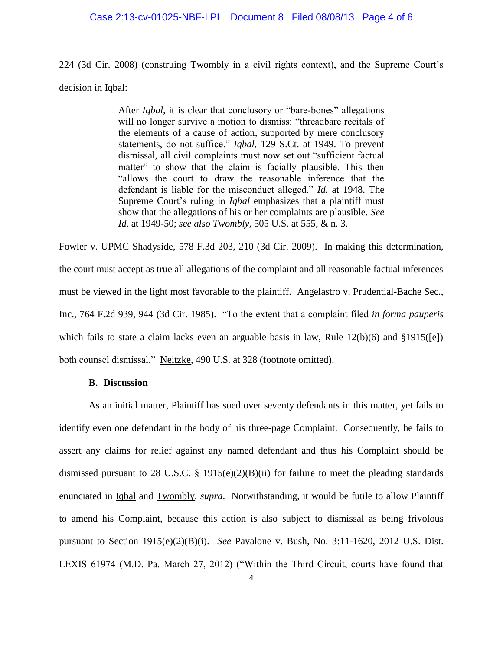#### Case 2:13-cv-01025-NBF-LPL Document 8 Filed 08/08/13 Page 4 of 6

224 (3d Cir. 2008) (construing Twombly in a civil rights context), and the Supreme Court's decision in Iqbal:

> After *Iqbal,* it is clear that conclusory or "bare-bones" allegations will no longer survive a motion to dismiss: "threadbare recitals of the elements of a cause of action, supported by mere conclusory statements, do not suffice." *Iqbal,* 129 S.Ct. at 1949. To prevent dismissal, all civil complaints must now set out "sufficient factual matter" to show that the claim is facially plausible. This then "allows the court to draw the reasonable inference that the defendant is liable for the misconduct alleged." *Id.* at 1948. The Supreme Court's ruling in *Iqbal* emphasizes that a plaintiff must show that the allegations of his or her complaints are plausible. *See Id.* at 1949-50; *see also Twombly,* 505 U.S. at 555, & n. 3.

Fowler v. UPMC Shadyside, 578 F.3d 203, 210 (3d Cir. 2009). In making this determination, the court must accept as true all allegations of the complaint and all reasonable factual inferences must be viewed in the light most favorable to the plaintiff. Angelastro v. Prudential-Bache Sec., Inc., 764 F.2d 939, 944 (3d Cir. 1985). "To the extent that a complaint filed *in forma pauperis* which fails to state a claim lacks even an arguable basis in law, Rule 12(b)(6) and §1915([e]) both counsel dismissal." Neitzke, 490 U.S. at 328 (footnote omitted).

### **B. Discussion**

As an initial matter, Plaintiff has sued over seventy defendants in this matter, yet fails to identify even one defendant in the body of his three-page Complaint. Consequently, he fails to assert any claims for relief against any named defendant and thus his Complaint should be dismissed pursuant to 28 U.S.C. § 1915(e)(2)(B)(ii) for failure to meet the pleading standards enunciated in Iqbal and Twombly, *supra*. Notwithstanding, it would be futile to allow Plaintiff to amend his Complaint, because this action is also subject to dismissal as being frivolous pursuant to Section 1915(e)(2)(B)(i). *See* Pavalone v. Bush, No. 3:11-1620, 2012 U.S. Dist. LEXIS 61974 (M.D. Pa. March 27, 2012) ("Within the Third Circuit, courts have found that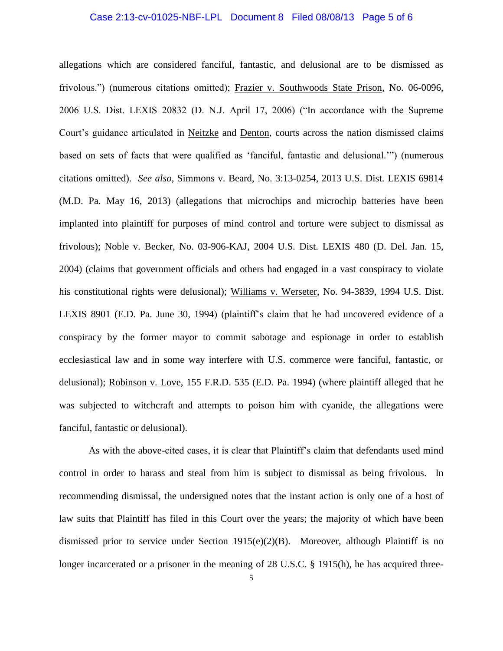### Case 2:13-cv-01025-NBF-LPL Document 8 Filed 08/08/13 Page 5 of 6

allegations which are considered fanciful, fantastic, and delusional are to be dismissed as frivolous.") (numerous citations omitted); Frazier v. Southwoods State Prison, No. 06-0096, 2006 U.S. Dist. LEXIS 20832 (D. N.J. April 17, 2006) ("In accordance with the Supreme Court's guidance articulated in Neitzke and Denton, courts across the nation dismissed claims based on sets of facts that were qualified as 'fanciful, fantastic and delusional.'") (numerous citations omitted). *See also*, Simmons v. Beard, No. 3:13-0254, 2013 U.S. Dist. LEXIS 69814 (M.D. Pa. May 16, 2013) (allegations that microchips and microchip batteries have been implanted into plaintiff for purposes of mind control and torture were subject to dismissal as frivolous); Noble v. Becker, No. 03-906-KAJ, 2004 U.S. Dist. LEXIS 480 (D. Del. Jan. 15, 2004) (claims that government officials and others had engaged in a vast conspiracy to violate his constitutional rights were delusional); Williams v. Werseter, No. 94-3839, 1994 U.S. Dist. LEXIS 8901 (E.D. Pa. June 30, 1994) (plaintiff's claim that he had uncovered evidence of a conspiracy by the former mayor to commit sabotage and espionage in order to establish ecclesiastical law and in some way interfere with U.S. commerce were fanciful, fantastic, or delusional); Robinson v. Love, 155 F.R.D. 535 (E.D. Pa. 1994) (where plaintiff alleged that he was subjected to witchcraft and attempts to poison him with cyanide, the allegations were fanciful, fantastic or delusional).

As with the above-cited cases, it is clear that Plaintiff's claim that defendants used mind control in order to harass and steal from him is subject to dismissal as being frivolous. In recommending dismissal, the undersigned notes that the instant action is only one of a host of law suits that Plaintiff has filed in this Court over the years; the majority of which have been dismissed prior to service under Section 1915(e)(2)(B). Moreover, although Plaintiff is no longer incarcerated or a prisoner in the meaning of 28 U.S.C. § 1915(h), he has acquired three-